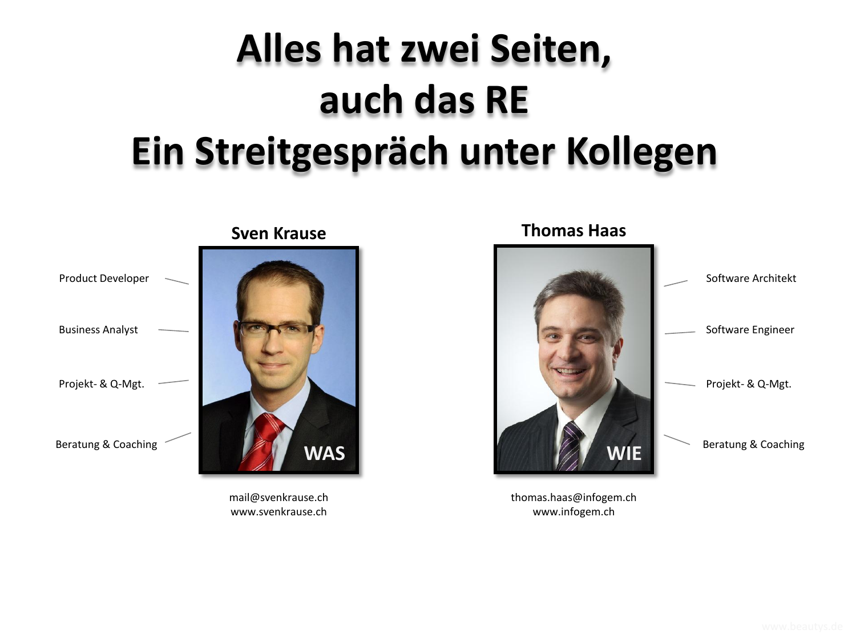# **Alles hat zwei Seiten, auch das RE Ein Streitgespräch unter Kollegen**



mail@svenkrause.ch www.svenkrause.ch



thomas.haas@infogem.ch www.infogem.ch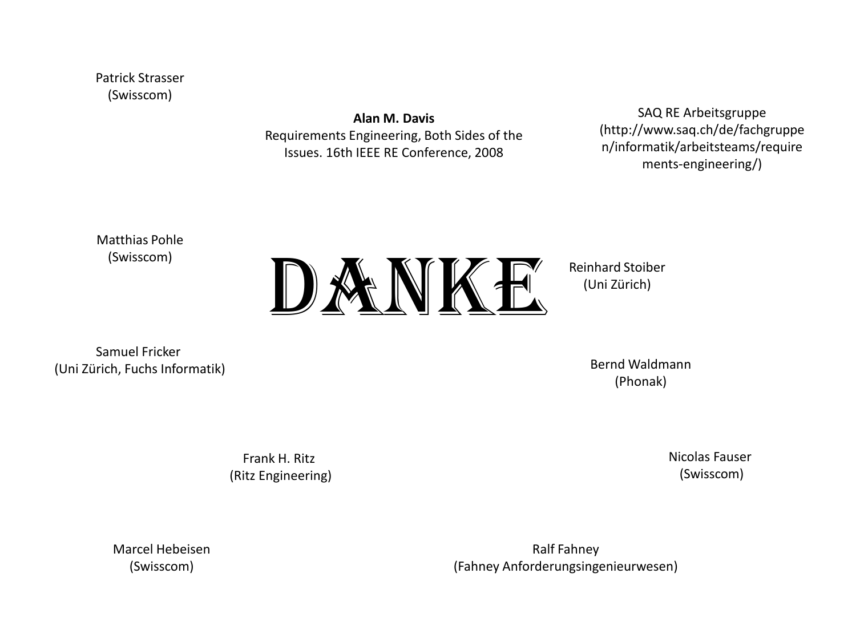Patrick Strasser (Swisscom)

> **Alan M. Davis** Requirements Engineering, Both Sides of the Issues. 16th IEEE RE Conference, 2008

SAQ RE Arbeitsgruppe (http://www.saq.ch/de/fachgruppe n/informatik/arbeitsteams/require ments-engineering/)

Matthias Pohle (Swisscom)



Reinhard Stoiber (Uni Zürich)

Samuel Fricker (Uni Zürich, Fuchs Informatik)

Bernd Waldmann (Phonak)

Frank H. Ritz (Ritz Engineering) Nicolas Fauser (Swisscom)

Marcel Hebeisen (Swisscom)

Ralf Fahney (Fahney Anforderungsingenieurwesen)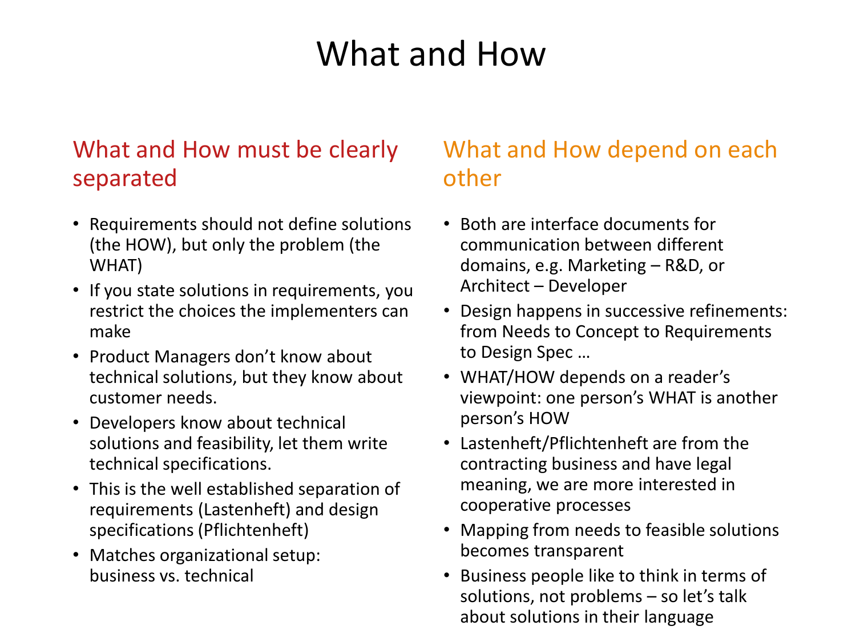# What and How

### What and How must be clearly separated

- Requirements should not define solutions (the HOW), but only the problem (the WHAT)
- If you state solutions in requirements, you restrict the choices the implementers can make
- Product Managers don't know about technical solutions, but they know about customer needs.
- Developers know about technical solutions and feasibility, let them write technical specifications.
- This is the well established separation of requirements (Lastenheft) and design specifications (Pflichtenheft)
- Matches organizational setup: business vs. technical

### What and How depend on each other

- Both are interface documents for communication between different domains, e.g. Marketing – R&D, or Architect – Developer
- Design happens in successive refinements: from Needs to Concept to Requirements to Design Spec …
- WHAT/HOW depends on a reader's viewpoint: one person's WHAT is another person's HOW
- Lastenheft/Pflichtenheft are from the contracting business and have legal meaning, we are more interested in cooperative processes
- Mapping from needs to feasible solutions becomes transparent
- Business people like to think in terms of solutions, not problems – so let's talk about solutions in their language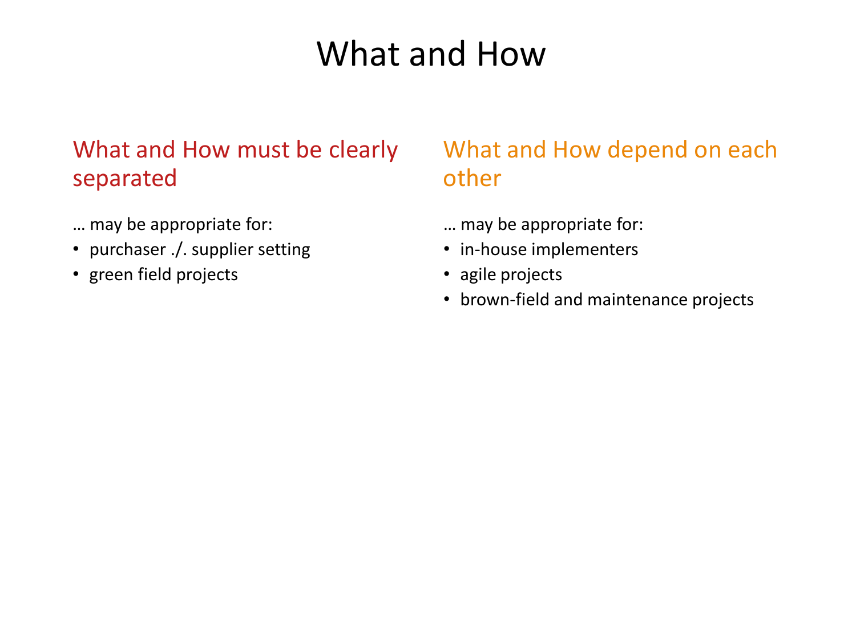### What and How

### What and How must be clearly separated

- … may be appropriate for:
- purchaser ./. supplier setting
- green field projects

### What and How depend on each other

- … may be appropriate for:
- in-house implementers
- agile projects
- brown-field and maintenance projects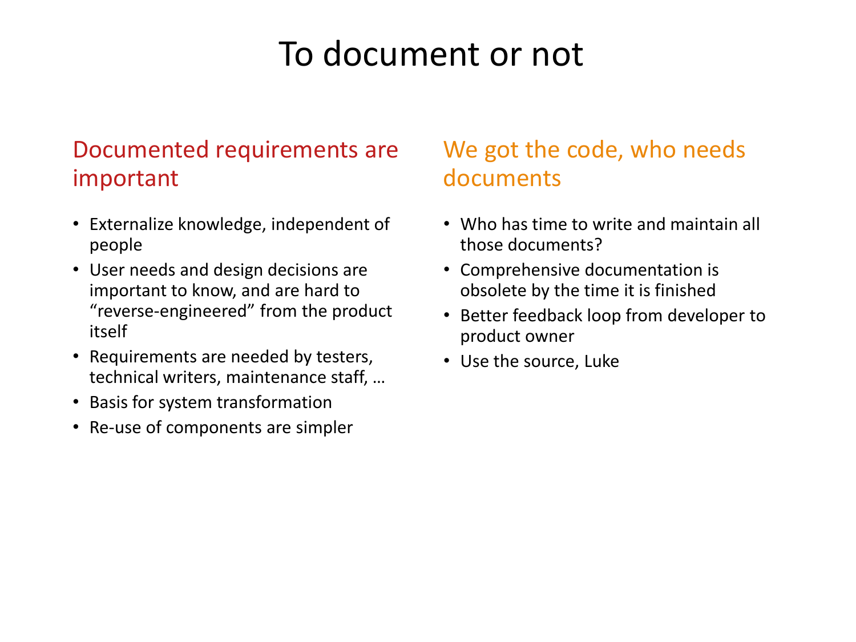### To document or not

### Documented requirements are important

- Externalize knowledge, independent of people
- User needs and design decisions are important to know, and are hard to "reverse-engineered" from the product itself
- Requirements are needed by testers, technical writers, maintenance staff, …
- Basis for system transformation
- Re-use of components are simpler

### We got the code, who needs documents

- Who has time to write and maintain all those documents?
- Comprehensive documentation is obsolete by the time it is finished
- Better feedback loop from developer to product owner
- Use the source, Luke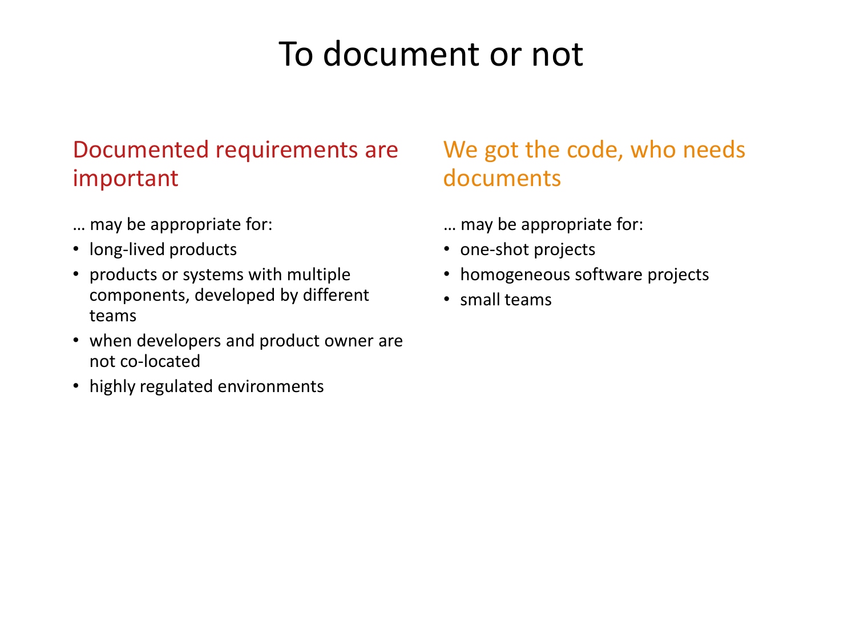### To document or not

#### Documented requirements are important

- … may be appropriate for:
- long-lived products
- products or systems with multiple components, developed by different teams
- when developers and product owner are not co-located
- highly regulated environments

### We got the code, who needs documents

- … may be appropriate for:
- one-shot projects
- homogeneous software projects
- small teams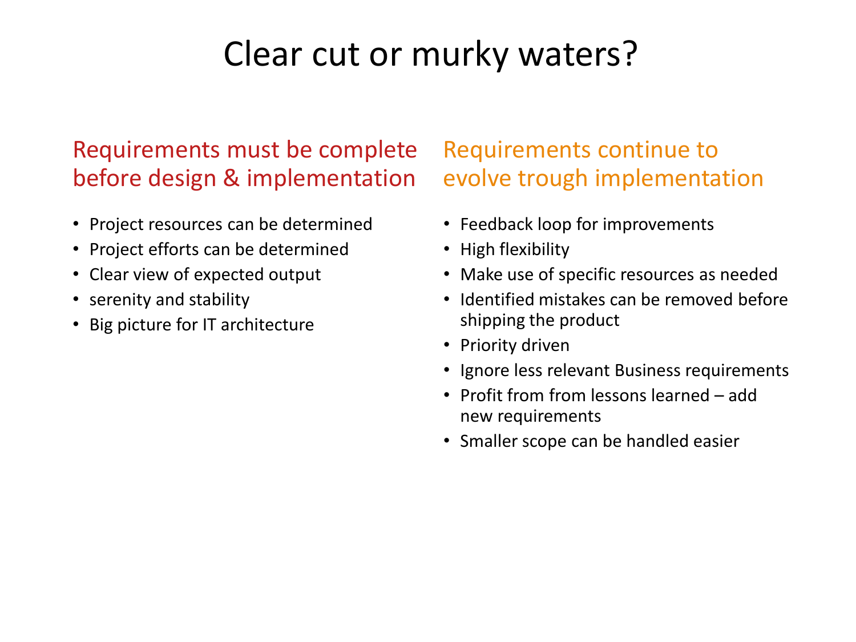### Clear cut or murky waters?

#### Requirements must be complete before design & implementation

- Project resources can be determined
- Project efforts can be determined
- Clear view of expected output
- serenity and stability
- Big picture for IT architecture

#### Requirements continue to evolve trough implementation

- Feedback loop for improvements
- High flexibility
- Make use of specific resources as needed
- Identified mistakes can be removed before shipping the product
- Priority driven
- Ignore less relevant Business requirements
- Profit from from lessons learned add new requirements
- Smaller scope can be handled easier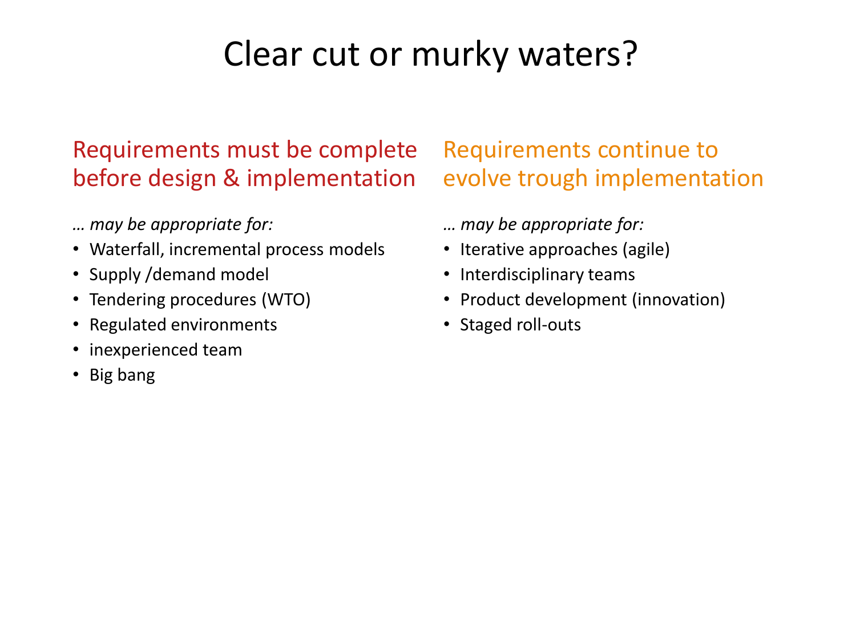## Clear cut or murky waters?

### Requirements must be complete before design & implementation

- *… may be appropriate for:*
- Waterfall, incremental process models
- Supply /demand model
- Tendering procedures (WTO)
- Regulated environments
- inexperienced team
- Big bang

### Requirements continue to evolve trough implementation

- *… may be appropriate for:*
- Iterative approaches (agile)
- Interdisciplinary teams
- Product development (innovation)
- Staged roll-outs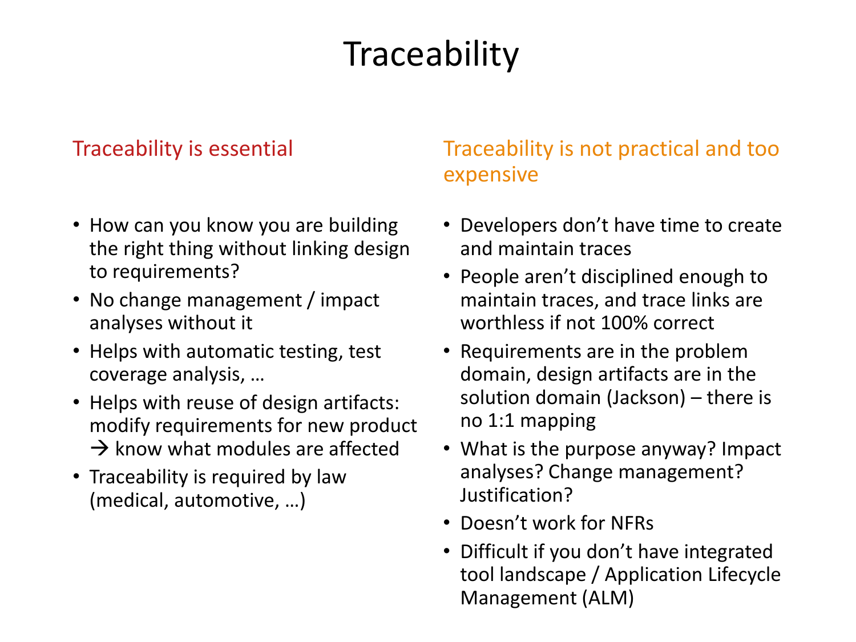# **Traceability**

#### Traceability is essential

- How can you know you are building the right thing without linking design to requirements?
- No change management / impact analyses without it
- Helps with automatic testing, test coverage analysis, …
- Helps with reuse of design artifacts: modify requirements for new product  $\rightarrow$  know what modules are affected
- Traceability is required by law (medical, automotive, …)

#### Traceability is not practical and too expensive

- Developers don't have time to create and maintain traces
- People aren't disciplined enough to maintain traces, and trace links are worthless if not 100% correct
- Requirements are in the problem domain, design artifacts are in the solution domain (Jackson) – there is no 1:1 mapping
- What is the purpose anyway? Impact analyses? Change management? Justification?
- Doesn't work for NFRs
- Difficult if you don't have integrated tool landscape / Application Lifecycle Management (ALM)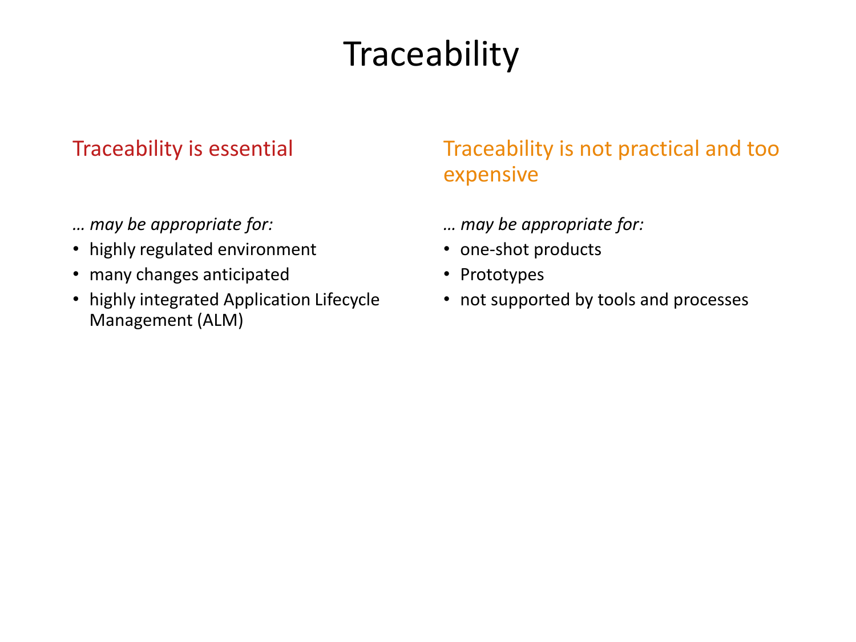# **Traceability**

#### Traceability is essential

- *… may be appropriate for:*
- highly regulated environment
- many changes anticipated
- highly integrated Application Lifecycle Management (ALM)

#### Traceability is not practical and too expensive

- *… may be appropriate for:*
- one-shot products
- Prototypes
- not supported by tools and processes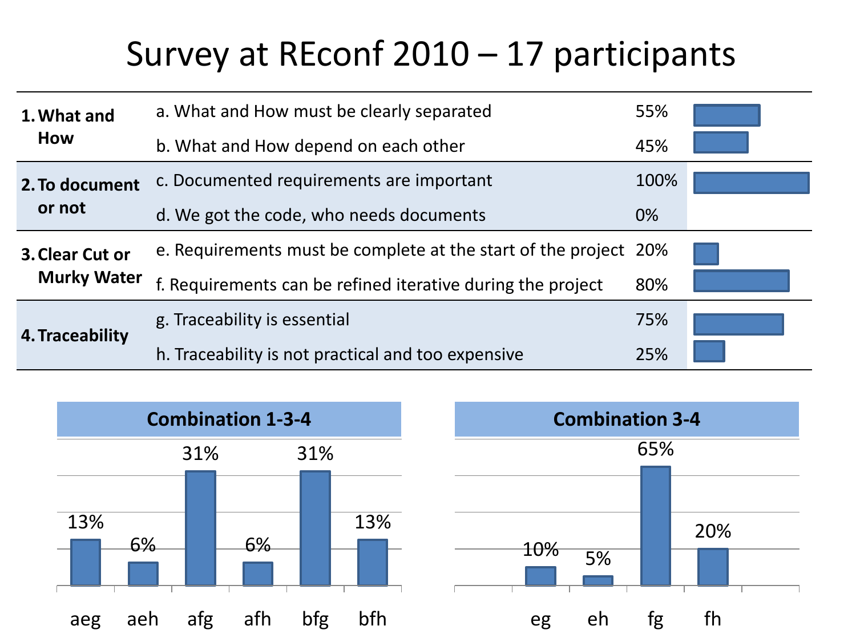### Survey at REconf 2010 – 17 participants

| 1. What and<br>How                    | a. What and How must be clearly separated                        | 55%   |  |
|---------------------------------------|------------------------------------------------------------------|-------|--|
|                                       | b. What and How depend on each other                             | 45%   |  |
| 2. To document<br>or not              | c. Documented requirements are important                         | 100%  |  |
|                                       | d. We got the code, who needs documents                          | $0\%$ |  |
| 3. Clear Cut or<br><b>Murky Water</b> | e. Requirements must be complete at the start of the project 20% |       |  |
|                                       | f. Requirements can be refined iterative during the project      | 80%   |  |
| 4. Traceability                       | g. Traceability is essential                                     | 75%   |  |
|                                       | h. Traceability is not practical and too expensive               | 25%   |  |